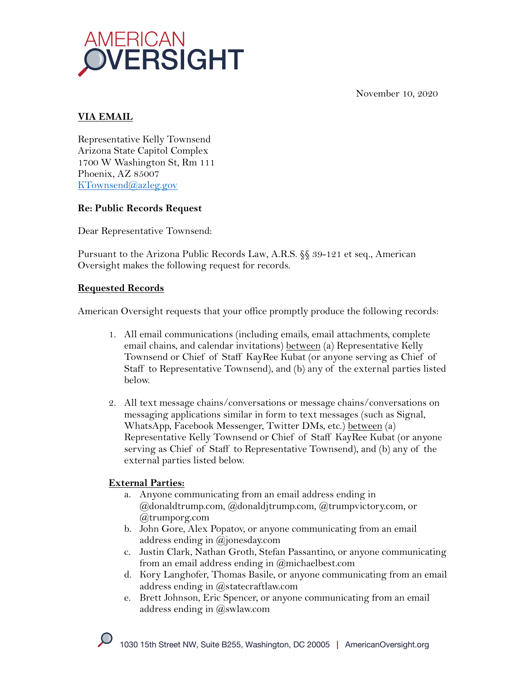



## **VIA EMAIL**

Representative Kelly Townsend Arizona State Capitol Complex 1700 W Washington St, Rm 111 Phoenix, AZ 85007 KTownsend@azleg.gov

### **Re: Public Records Request**

Dear Representative Townsend:

Pursuant to the Arizona Public Records Law, A.R.S. §§ 39-121 et seq., American Oversight makes the following request for records.

### **Requested Records**

American Oversight requests that your office promptly produce the following records:

- 1. All email communications (including emails, email attachments, complete email chains, and calendar invitations) between (a) Representative Kelly Townsend or Chief of Staff KayRee Kubat (or anyone serving as Chief of Staff to Representative Townsend), and (b) any of the external parties listed below.
- 2. All text message chains/conversations or message chains/conversations on messaging applications similar in form to text messages (such as Signal, WhatsApp, Facebook Messenger, Twitter DMs, etc.) between (a) Representative Kelly Townsend or Chief of Staff KayRee Kubat (or anyone serving as Chief of Staff to Representative Townsend), and (b) any of the external parties listed below.

# **External Parties:**

- a. Anyone communicating from an email address ending in @donaldtrump.com, @donaldjtrump.com, @trumpvictory.com, or @trumporg.com
- b. John Gore, Alex Popatov, or anyone communicating from an email address ending in @jonesday.com
- c. Justin Clark, Nathan Groth, Stefan Passantino, or anyone communicating from an email address ending in @michaelbest.com
- d. Kory Langhofer, Thomas Basile, or anyone communicating from an email address ending in @statecraftlaw.com
- e. Brett Johnson, Eric Spencer, or anyone communicating from an email address ending in @swlaw.com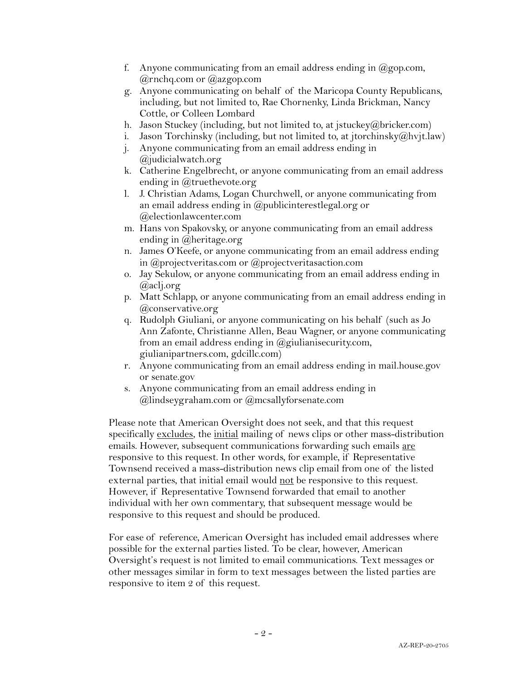- f. Anyone communicating from an email address ending in  $\omega$  gop.com, @rnchq.com or @azgop.com
- g. Anyone communicating on behalf of the Maricopa County Republicans, including, but not limited to, Rae Chornenky, Linda Brickman, Nancy Cottle, or Colleen Lombard
- h. Jason Stuckey (including, but not limited to, at jstuckey@bricker.com)
- i. Jason Torchinsky (including, but not limited to, at jtorchinsky@hvjt.law)
- j. Anyone communicating from an email address ending in @judicialwatch.org
- k. Catherine Engelbrecht, or anyone communicating from an email address ending in @truethevote.org
- l. J. Christian Adams, Logan Churchwell, or anyone communicating from an email address ending in @publicinterestlegal.org or @electionlawcenter.com
- m. Hans von Spakovsky, or anyone communicating from an email address ending in @heritage.org
- n. James O'Keefe, or anyone communicating from an email address ending in @projectveritas.com or @projectveritasaction.com
- o. Jay Sekulow, or anyone communicating from an email address ending in @aclj.org
- p. Matt Schlapp, or anyone communicating from an email address ending in @conservative.org
- q. Rudolph Giuliani, or anyone communicating on his behalf (such as Jo Ann Zafonte, Christianne Allen, Beau Wagner, or anyone communicating from an email address ending in  $@$ giulianisecurity.com, giulianipartners.com, gdcillc.com)
- r. Anyone communicating from an email address ending in mail.house.gov or senate.gov
- s. Anyone communicating from an email address ending in @lindseygraham.com or @mcsallyforsenate.com

Please note that American Oversight does not seek, and that this request specifically excludes, the initial mailing of news clips or other mass-distribution emails. However, subsequent communications forwarding such emails are responsive to this request. In other words, for example, if Representative Townsend received a mass-distribution news clip email from one of the listed external parties, that initial email would not be responsive to this request. However, if Representative Townsend forwarded that email to another individual with her own commentary, that subsequent message would be responsive to this request and should be produced.

For ease of reference, American Oversight has included email addresses where possible for the external parties listed. To be clear, however, American Oversight's request is not limited to email communications. Text messages or other messages similar in form to text messages between the listed parties are responsive to item 2 of this request.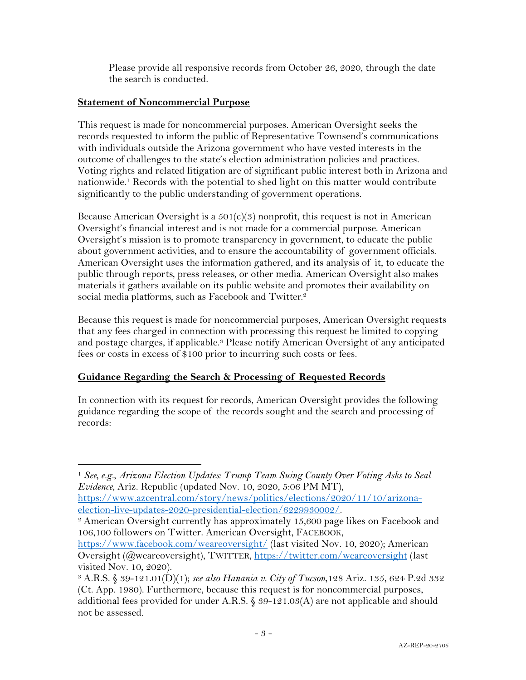Please provide all responsive records from October 26, 2020, through the date the search is conducted.

#### **Statement of Noncommercial Purpose**

This request is made for noncommercial purposes. American Oversight seeks the records requested to inform the public of Representative Townsend's communications with individuals outside the Arizona government who have vested interests in the outcome of challenges to the state's election administration policies and practices. Voting rights and related litigation are of significant public interest both in Arizona and nationwide.1 Records with the potential to shed light on this matter would contribute significantly to the public understanding of government operations.

Because American Oversight is a  $501(c)(3)$  nonprofit, this request is not in American Oversight's financial interest and is not made for a commercial purpose. American Oversight's mission is to promote transparency in government, to educate the public about government activities, and to ensure the accountability of government officials. American Oversight uses the information gathered, and its analysis of it, to educate the public through reports, press releases, or other media. American Oversight also makes materials it gathers available on its public website and promotes their availability on social media platforms, such as Facebook and Twitter.<sup>2</sup>

Because this request is made for noncommercial purposes, American Oversight requests that any fees charged in connection with processing this request be limited to copying and postage charges, if applicable.3 Please notify American Oversight of any anticipated fees or costs in excess of \$100 prior to incurring such costs or fees.

# **Guidance Regarding the Search & Processing of Requested Records**

In connection with its request for records, American Oversight provides the following guidance regarding the scope of the records sought and the search and processing of records:

<sup>1</sup> *See, e.g.*, *Arizona Election Updates: Trump Team Suing County Over Voting Asks to Seal Evidence*, Ariz. Republic (updated Nov. 10, 2020, 5:06 PM MT), https://www.azcentral.com/story/news/politics/elections/2020/11/10/arizona-

election-live-updates-2020-presidential-election/6229930002/.<br><sup>2</sup> American Oversight currently has approximately 15,600 page likes on Facebook and 106,100 followers on Twitter. American Oversight, FACEBOOK,

https://www.facebook.com/weareoversight/ (last visited Nov. 10, 2020); American Oversight (@weareoversight), TWITTER, https://twitter.com/weareoversight (last visited Nov. 10, 2020).

<sup>3</sup> A.R.S. § 39-121.01(D)(1); *see also Hanania v. City of Tucson*,128 Ariz. 135, 624 P.2d 332 (Ct. App. 1980). Furthermore, because this request is for noncommercial purposes, additional fees provided for under A.R.S.  $\&$  39-121.03(A) are not applicable and should not be assessed.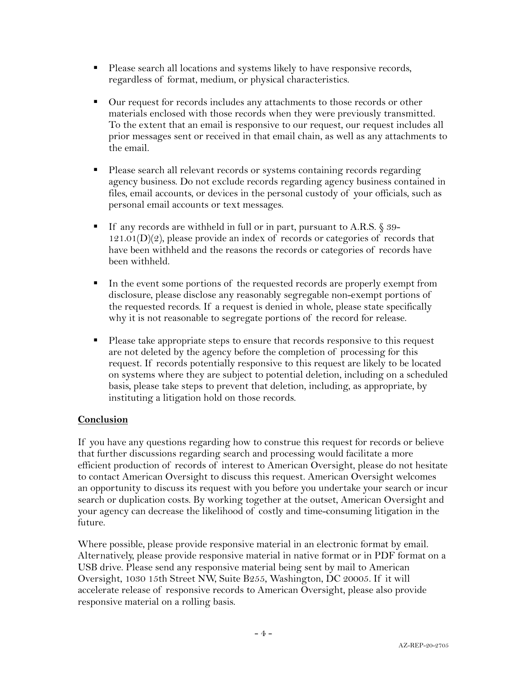- Please search all locations and systems likely to have responsive records, regardless of format, medium, or physical characteristics.
- Our request for records includes any attachments to those records or other materials enclosed with those records when they were previously transmitted. To the extent that an email is responsive to our request, our request includes all prior messages sent or received in that email chain, as well as any attachments to the email.
- § Please search all relevant records or systems containing records regarding agency business. Do not exclude records regarding agency business contained in files, email accounts, or devices in the personal custody of your officials, such as personal email accounts or text messages.
- If any records are withheld in full or in part, pursuant to A.R.S. § 39- $121.01(D)(2)$ , please provide an index of records or categories of records that have been withheld and the reasons the records or categories of records have been withheld.
- § In the event some portions of the requested records are properly exempt from disclosure, please disclose any reasonably segregable non-exempt portions of the requested records. If a request is denied in whole, please state specifically why it is not reasonable to segregate portions of the record for release.
- § Please take appropriate steps to ensure that records responsive to this request are not deleted by the agency before the completion of processing for this request. If records potentially responsive to this request are likely to be located on systems where they are subject to potential deletion, including on a scheduled basis, please take steps to prevent that deletion, including, as appropriate, by instituting a litigation hold on those records.

#### **Conclusion**

If you have any questions regarding how to construe this request for records or believe that further discussions regarding search and processing would facilitate a more efficient production of records of interest to American Oversight, please do not hesitate to contact American Oversight to discuss this request. American Oversight welcomes an opportunity to discuss its request with you before you undertake your search or incur search or duplication costs. By working together at the outset, American Oversight and your agency can decrease the likelihood of costly and time-consuming litigation in the future.

Where possible, please provide responsive material in an electronic format by email. Alternatively, please provide responsive material in native format or in PDF format on a USB drive. Please send any responsive material being sent by mail to American Oversight, 1030 15th Street NW, Suite B255, Washington, DC 20005. If it will accelerate release of responsive records to American Oversight, please also provide responsive material on a rolling basis.